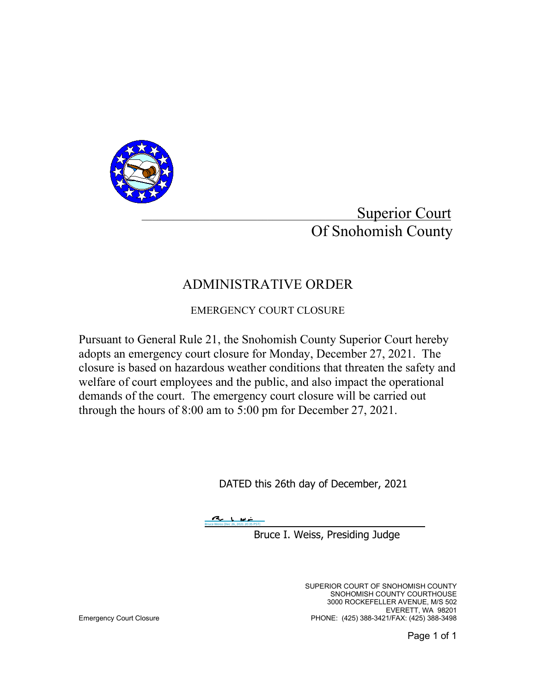

Superior Court Of Snohomish County

## ADMINISTRATIVE ORDER

EMERGENCY COURT CLOSURE

Pursuant to General Rule 21, the Snohomish County Superior Court hereby adopts an emergency court closure for Monday, December 27, 2021. The closure is based on hazardous weather conditions that threaten the safety and welfare of court employees and the public, and also impact the operational demands of the court. The emergency court closure will be carried out through the hours of 8:00 am to 5:00 pm for December 27, 2021.

DATED this 26th day of December, 2021

[Bruce Weiss \(Dec 26, 2021 20:35 PST\)](https://na4.documents.adobe.com/verifier?tx=CBJCHBCAABAADB-Pm_05D_Ci3_7R5yA6clJGBpv_Wuwz)

Bruce I. Weiss, Presiding Judge

 SUPERIOR COURT OF SNOHOMISH COUNTY SNOHOMISH COUNTY COURTHOUSE 3000 ROCKEFELLER AVENUE, M/S 502 EVERETT, WA 98201<br>PHONE: (425) 388-3421/FAX: (425) 388-3498 PHONE: (425) 388-3421/FAX: (425) 388-3498 PHONE: (425) 388-3421/FAX: (425) 388-3498

Page 1 of 1